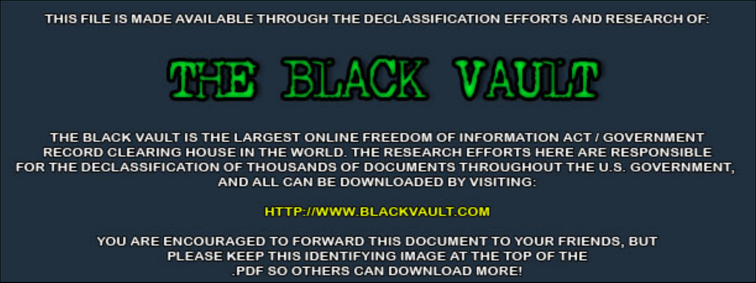THIS FILE IS MADE AVAILABLE THROUGH THE DECLASSIFICATION EFFORTS AND RESEARCH OF:



THE BLACK VAULT IS THE LARGEST ONLINE FREEDOM OF INFORMATION ACT / GOVERNMENT RECORD CLEARING HOUSE IN THE WORLD. THE RESEARCH EFFORTS HERE ARE RESPONSIBLE FOR THE DECLASSIFICATION OF THOUSANDS OF DOCUMENTS THROUGHOUT THE U.S. GOVERNMENT, AND ALL CAN BE DOWNLOADED BY VISITING:

**HTTP://WWW.BLACKVAULT.COM** 

YOU ARE ENCOURAGED TO FORWARD THIS DOCUMENT TO YOUR FRIENDS, BUT PLEASE KEEP THIS IDENTIFYING IMAGE AT THE TOP OF THE PDF SO OTHERS CAN DOWNLOAD MORE!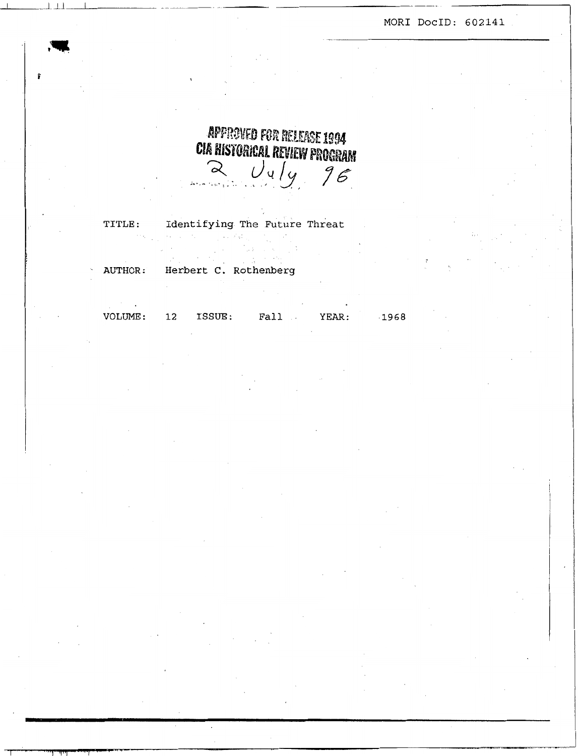**MOR1 DOCID: 602141** 

# APPROVED FOR RELEASE 1994 **CIA HISTORICAL REVIEW PROGRAM**  $\frac{1}{2}$   $\frac{1}{4}$   $\frac{1}{2}$

TITLE: Identifying The Future Threat and the state of the state of the

AUTHOR: Herbert C. Rothenberg  $\mathcal{L}_{\mathcal{L}}$ 

 $\mathbb{R}^2$ 

ر د.<br>د کار خورده استفاده

 $\mathcal{F}^{\mathcal{G}}(\mathcal{A})$ **VOLUME: 12 ISSUE: Fall** . **YEAR: ,1968** 

 $\sim 10^{-10}$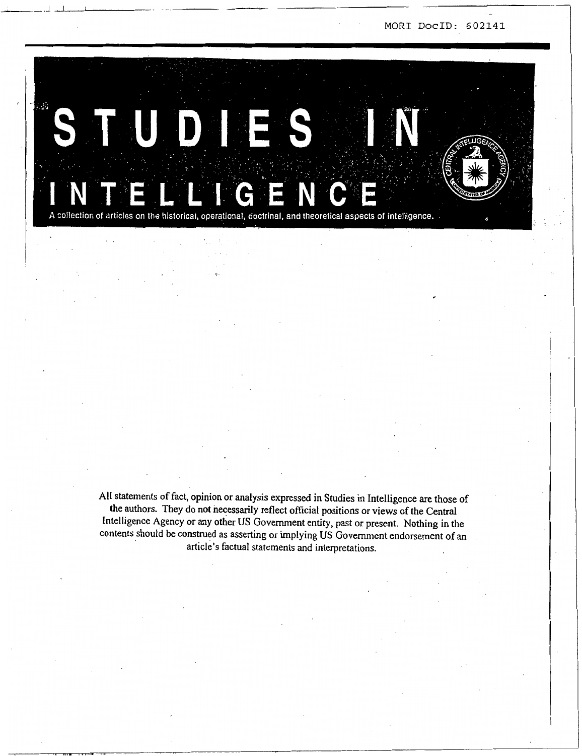

**All** statements of fact, opinion or analysis expressed in Studies in Intelligence are those of the authors. They do not necessarily reflect official positions or views of the Central intelligence Agency or any other **US** Government entity, past or present. Nothing in the contents should be construed **as** asserting or implying US Government endorsement of an article's factual statements and interpretations.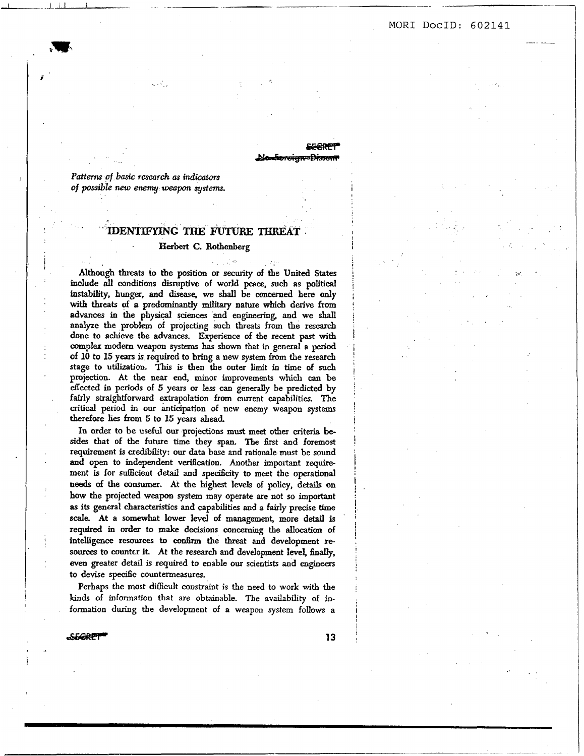**MOR1 DOCID: 602141** 

**I** ..

..

-

*Patterns of basic research as indicators* **of** *possible new enenuj* weapon *systernr.* 

*i* 

# **'DENTIFYING THE FUTURE THREAT**

#### **Eerbert** C. Bothenberg

**Although** threats **to** the **position** or **security** of tbe **United** States indude **all conditions** disruptive of **world peace,** *such* **as political**  instability, hunger, and disease, we shall be concerned here only with threats **of a** predominantly **military** nature **which** derive **imm advances** *in* the physical **sciences and** engineering, and we **shan**  analyze the problem of projecting *such* threats **from** the **reseafch**  done to achieve the advances. Experience of the recent past with complex **modern weapon** systems **has** shown that in **general a period**  Of 10 to 15 **years** is required to bring **a new** system **hm the research**  stage to **utilization.** This is then the outer limit in time of *such*  projection. At the **near** end, minor improvements **which** *can* be effected in periods of *5 years* or less *can* generally be **predicted** by fairly straightforward extrapolation **from** current capabilities. The **critical** period in **our anticipation** of new enemy **weapon** *systems*  therefore **lies** horn **5 to** *15* **years** dead

In order **to** be **useful our** projections **must meet other** criteria besides that of the future time they **span.** The first and foremost requirement is credibility: **our** data base **and** rationale **must** be sound and open to independent verification. Another important require**ment** is for sufficient detail and specificity **to** meet the operational **needs** of the consumer. At **the highest** levels of **policy,** details **on bow** the **projected weapon system** may operate are not **so** important **as** its general characteristics **and** capabilities and *a* fairly precise time **scale.** At **a** somewht **lower level** of management, more detail is required in order **to** make decisions concerning the **allocation** of intelligence **resources to confirm** the **threat and** development **resources to counter it At the researcb and** development level, **finaIIy,**  *even* greater detail is required to enable our **scientists and** engineers to devise specific countermeasures.

Perhaps the most difficult constraint is the **need** to **work with** the **kinds** of information that are obtainable. The availability of information during the development of *a* weapon system follows **a** 

*asfzRFr* **13** 

**I** 

!<br>!

**i**  *i*  !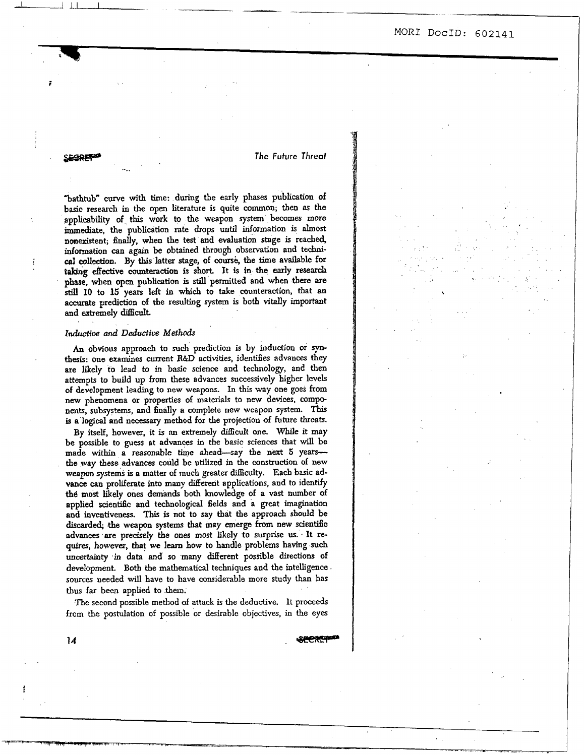.'

- *The* **Future** *Threaf* 

.\_ - LA .LlI..

"bathtub" curve with time: during the early phases publication of **basic** research in the **open** literature is quite common; **then as** the applicability of this work to the weapon *system* becomes more inundate, the publication rate drops **until** information is **almost**  nonexistent; finally, when the test and **evaluation** stage is reached, information can again be obtained through observation and tecbni*cal* coliection. **By this** latter stage, of cours& the **time** available for **taking effecrive** counteraction is short. It is in the **early** research phase, when open publication is still permitted and when **there** *rue still* **10** to **15 years** left in which to take counteraction, that **an**  accurate prediction of the **resuIting** system is both vitally **important**  and extremely difficult.

#### *Inductive and Deductive Methods*

*i* 

**An** obvious approach to *such* prediction is **by induction** or *syn***thesis:** one examines current **R&D** activities, **idenses** advances **they**  are likely to lead to in basic science and technology, and **then**  attempts *to* build up from these advances successively higher levels of development leading to new weapons. In **this** way one goes **from new** phenomena or properties of materials to **new** devices, compe **nents,** subsystems, and finally a complete new weapon **system.** This is a **logical** and necessary method for the projection **of** future threats.

By itself, however, it is m extremely difficult one. **While** it **may**  be possible to *guess* **at** advances in **the** basic sciences that will be made within **a reasonable** *time* ahead-zay the next *5* years**the way** these **advances could** be utilized in the **construction** of new **weapon systems** is a matter of **much** greater **dif€iculty.** Each basic advance can proliferate into many different applications, and to identify **the** most likely **ones demands** both knowledge of **a vast** number of applied scientific **and** technological felds and a great imagination **and** inventiveness. This is not to say that the approach should **be discarded; the** weapon systems that may emerge **from** new **scientific**  advances are precisely the **ones most** likely to surprise **us..** It re**quires,** however, that we learn how to handle problems having such uncertainty in data and so many different possible directions of development. Both the **mathematical** techniques **and** the intelligence **sources** needed will **have** to have considerable more study than **has**  tbus far been applied to them.

The second possible method of attack *is* the deductive. It **proceeds**  from **the** postulation of possible or desirable objectives, in the eyes

 $14$ 

**1 i**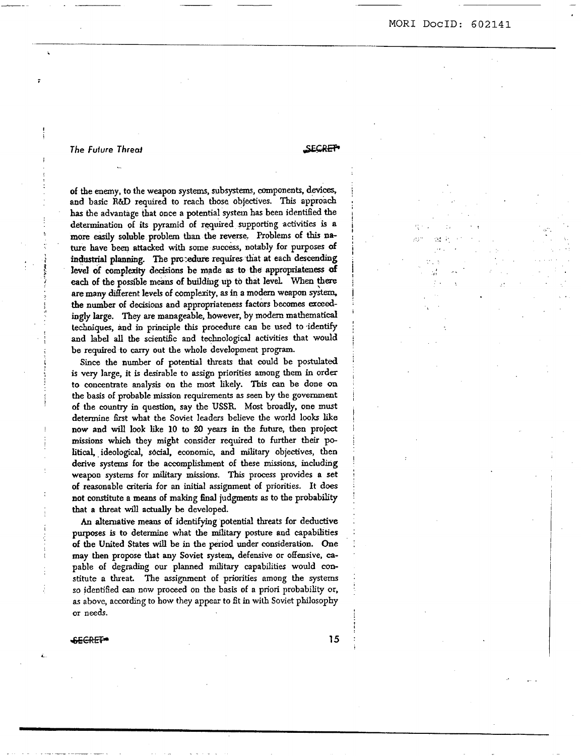,. ,

,. ..

..

# *The Future Thred*

**SECRET** 

j **i**  i. **I I**  i *i* 

**I** 

I

i.

of the enemy, to the weapon *systems,* subsystems, mmponents, **devices,**  and basic **R&D** required to reach those objectives. This approach **has** the advantage that once a potential system **has** been **identiGed** the determination of its pyramid of rquired supporting activities **is a more easily** soluble problem than the reverse. Problems of **this na**ture have been attacked with some success, notably for purposes of industrial planning. The procedure requires that at each descending level of complexity decisions be made as to the appropriateness of *each* of **the** possible **means of building up to that** level. **When** *\$ere*  **are** many different levels of complexity. **as** in *B* modern weapon *system,*  **the number** of **decisions** and appropriateness factors becomes *exceed*ingly large. **They** are manageable, however, by **modan** mathematical techniques, and in principle this procedure can be used to identify and label **all** the scientific and technological activities that **would**  be required to *carry* out the whole development program.

**Since** the number of potential threats that could be postulated is very large, it is desirable to assign priorities among them in order to concentrate analysis on the most likely. Tbis *can* be done *on*  the **basis** of probable **mission** requirements **as seen** by **the** government of the country in question, say the USSR. Most broadly, one must determine **Grst** what the Soviet leaders believe the world looks like now and will **look** like **10** to **u)** years in the future, then project **missions** which they might consider required to further their po**litical,** ideological, *sbaal,* **economic,** and military objectives, then derive systems for tbe accomplishment of these **missions,** including weapon systems for **military missions. This** process provides **a set**  of reasonable criteria for an initial assignment of priorities. It does not constitute a **means** of making final judgments *8s* to the probability that **a** threat will actually be developed.

*A0* altemative **means** of identifying potential threats for deductive purposes is to determine what the military posture and capabilities of the United States will be in the period under consideration. One may then propose that any Soviet system, defensive or offensive, *ca*pable of degrading our planned **military** capabilities would constitute a threat The assignment of priorities among the **systems so** identiSed *can* **now** proceed on the **basis** of **a** priori probability or, **as** above, according to how they appear to fit in **with** Soviet philosophy or needs.

#### SECRET-

**15**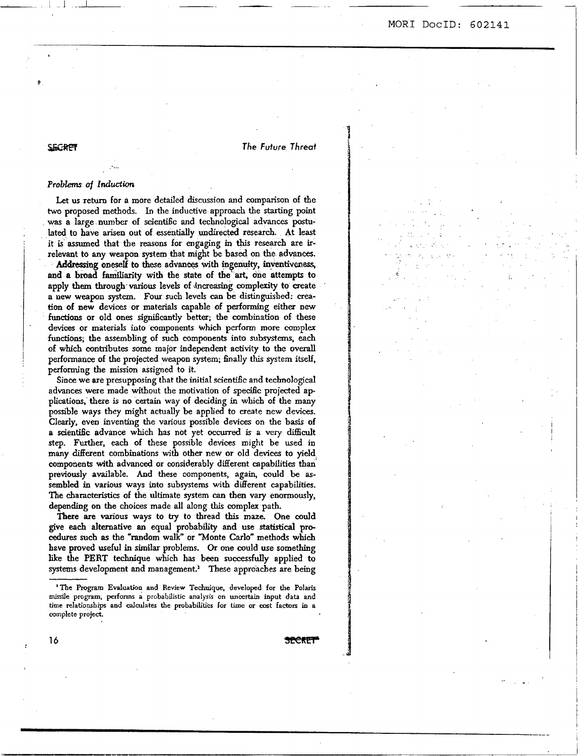*The Future Threai* 

## SEGRPT

#### **ProbLms** of *Induction*

..

Let us return for a more detailed discussion and comparison of the two proposed methods. **In** the inductive approach the starting point **was** a large **number** of scientific and technological advances postulated to have arisen out of essentially undirected research. At least it is assumed that the reasons for engaging **m this** research are irrelevant to **my weapon** system that might be based **on** the **advances.**  Addressing oneself to these advances with ingenuity, inventiveness, and **n** broad familiarity witb the **state** of the **art,** one attempts **to**  apply **them** through-various levels of **4ncreasing** compledty **to** create **a new weapon** system. **Four such** levels *can* be **distinguished:** *crea***tion** of **new** devices or materials capable of performing either **new**  functions or old ones significantly better; the combination of these devices or materials into components which perform more complex **functions;** the assembling of such components **into** subsystems, *each*  of which contributes some major independent activity **to** the overall performance of the projected weapon system; finally this system itself, performing the mission assigned to it.

Since we are presupposing that the initial scientific and technological advances were made without the motivation of specilic projected ap **plications, there** is no **certain** way of deciding in which of the **many**  possible ways they might actually be applied to create new devices. Clearly, even inventing the various possible devices on the basis of a scientific advance **which** has not yet occurred is a *very* difficult step. Further, each of these possible devices might be used in many different combinations with other new or old devices **to** yield components with advanced or considerably different capabilities **than'**  previously available. And these components, again, could be **as**sembled in various ways into subsystems **with** different capabilities. The cbaracteristics of the ultimate system *can* **then** vary enomousIy, depending on the **choices** made all along **this** complex path.

There *are* **various** ways to **try to** thread this maze. One **could**  give *each* alternative **an equal** probability and use **statistical** pro*cedures* such **as** the "random walk" or 'Monte Carlo" methods **which hzve** proved useful in similar problems. Or one could use something like the **PERT** technique which **has** been *successfuIly* applied to systems development and management.<sup>1</sup> These approaches are being

**'The** Program Eduatioq **and** Review **Technique, developed** for **the Polaris miaiIe pmgram. performs a** probabilistic analysis on unccrtaio input data **and time relatiopships and calculates the** pmbabililiks **for** time **or axt** factors in **a**  complete project.

**16** ?!i?eRw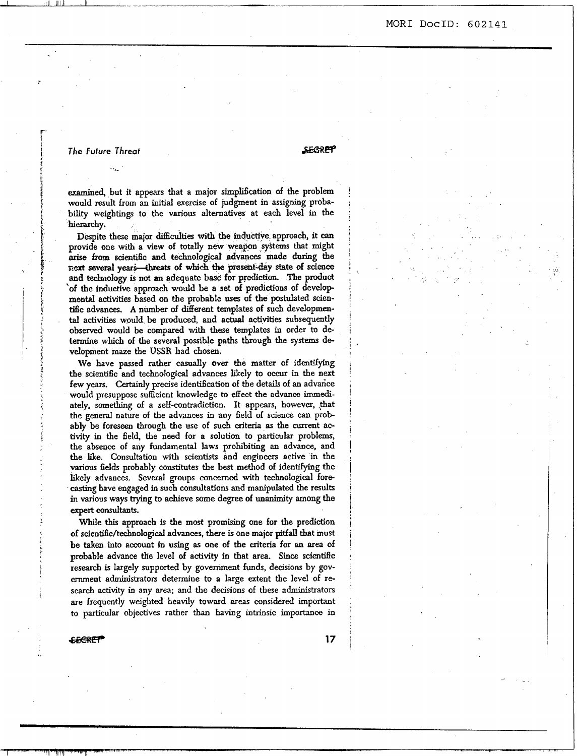$\mathcal{L}(\mathcal{A})$  $\mathfrak{S}$  , and  $\mathfrak{S}$  . The set of  $\mathfrak{S}$ 

 $\mathbf{r} = \mathbf{r}_\mathrm{max}$ 

#### *The Fufure* **Threat**

. ..-

ت میں تصدیق سے استعمال اللہ الثانی میں تصد

*=e* 

! I

!

examined, but it appears that a major simplification of the problem would result **from** an initial exercise of judgment in assigning probability weigbtings to the various alternatives at each level *in* the hierarchy.

Despite these major diBculties with the inductive approach, it *can*  provide one with a view of totally **new** weapon *syitems* that might arise **from scimtiilc** and **technological advances** made during the *aut* **sewend yeari-fhreats of which the present-day** state **of science**  and technology is not an adequate base for prediction. The product 'of the inductive npproach would be a set of predictions of develop mentd activities based **on** the probable **uses** of the postulated scien**ti6c advances.** A number of different templates of *such* developmental activities would. be produced, and actual **octivities** subsequently observed would be **compared** with these templates in order to determine which of the several possible paths through the *systems* **de**  velopment maze the **USSR** had **chosen.** 

We have passed rather casually over the matter of identifying the scientific and technological advances likely to *occur* **in** the next few **years.** Certainly precise identification of tbe details of **an** advarice would presuppose sufficient howledge to effect the advance **immedi**ately, something of a self-contradiction. It appears, however, that the general nature of the advances in any Geld of science can probably be foreseen through the use of such criteria as the current activity in the field, the need for **a** solution to particular problems, the absence of any fundamental laws prohibiting **an** advance, **and**  the like. Consultation with **scientists** and engineers active in the various fields probably constitutes the best method of identifying the likely advances. Several groups concerned with technological forecasting have engaged in such consultations **and** manipulated the results in various **ways** trying to achieve some degree of unanimity among the expert consultants.

While **this** approach *is* the most promising one for the prediction of scienti6c/technological advances, there **is one** major pitfall **that** must be taken into account in **using as** one of the criteria for *en* **area** of probable advance the level of activity in that area. Since scientific research **is** largely supported by government **funds,** decisions by government administrators determine to a large extent **the** level of **research** activity in any *area;* and the decisions of these administraton are frequently weighted heavily toward areas considered important to particular objectives rather than **having** intrinsic importance in

**exercise 17** 

I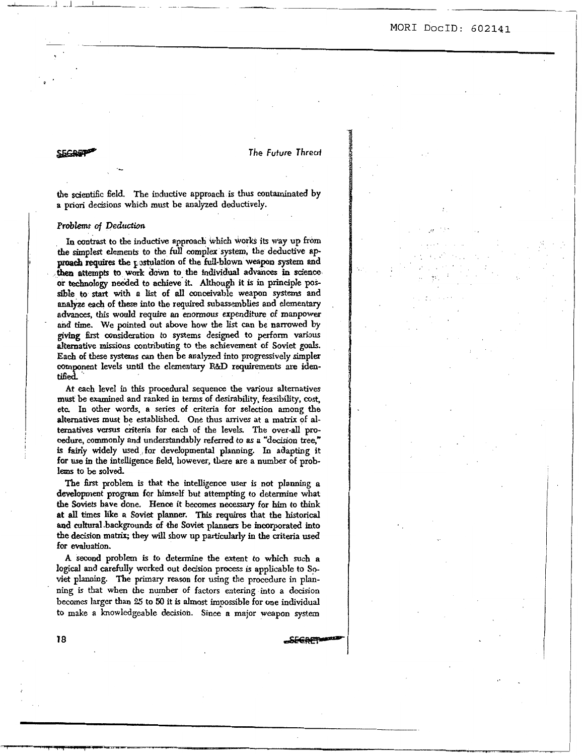*The future Threaf* 

the scientific field. The inductive approach is **thus** contaminated by **a** priori decisions which must be analyzed deductively.

#### **Problems** of *Dedtcction*

~.

**SEGREP** 

**In contrast** to the inductive approach **which works** its way **up** horn the simplest elements to the full complex system, the deductive approach requires the *i*sstudiation of the full-blown weapon system and proach requires the unrit down to the individual advance in science **then attempts to work down to-the individual advances in science or** technology *~eeiled* to **achieve** it. **Atthough** it **is** in principle **possible to** *start* with a **list** of **all** conceivable **weapon** system^ and **analyze each of** these **into** the **required subassemblies and** elementary **advances, this would require an enormous expenditure d manpower**  and time. **We** pointed out above how the list *can* be **narrowed** by **giving** *6rst* consideration **to** systems designed to **perfom** various alternative missions contributing to **the** achievanent of Soviet **goals.**  Each **of** these **systems** *can* then be **analyzed** into pmogressively simpler component levels **until** the elementary **R&J3 requirements are** idm**tL6ed..** 

At *each* level in **this** procedural sequence the various alternatives **must** be examined and **ranked** in terms of desirability, **feasibility,** *cost,*  etc **In other** words, **a series** of criteria **for** selection **among** the alternatives must be established. One **thus** anives **at a matrix** of **al**ternatives versus criteria for each of the levels. The over-all pro**cedure,** commody **and** understandably referred to **as a** "decision tree," is **fairIy** widely **used** for developmental planning. **In** adapting it **for** use in the intelligence field, however, there **are** a **number of prob**lems to be solved.

The first problem is that the intelligence **user** is not planning **a**  development pmgram **for** himself but attempting to determine what **the Soviets** bave done. Hence it becomes **neceSSary** for **him to** think **at all** times like a **Soviet** planner. This *requires* that the historical **and** cuhral.backgrounds of **the Soviet** planners be incorporated into the **decision** matrix; they wiU **show** up **particularly in the** criteria **used for evaluation.**  From the mutually more into the method of the same of the same of the same of the same of the solved. The first problem is that the intelligence user is not planning a development program for himself but attempting to dete

A second problem is to determine **the** extent to **which** *such* a logical and carefulIy worked out decision **process** is applicabIe **to Sp**  viet planning. The primary reason for using the procedure in plan**ning** is that when the number of factors entering into **a** dccision becomes **larger than 25** to *50* it is **almost impossible for one individual to make a** knowledgeable decision. **Since** a major weapon system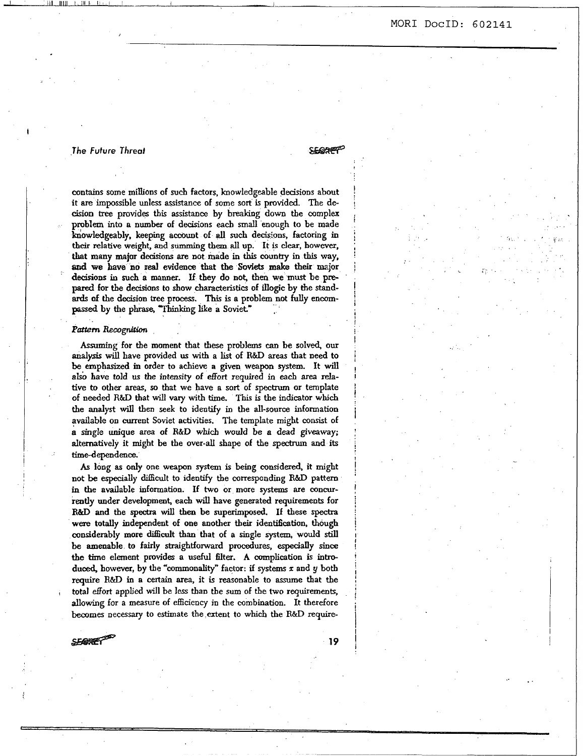#### **MOR1 DocID: 602141** ,

# *.The* **Future** *Threat*

**i** 

**SEGGARET** 

**I**  ! *i* 

!

**I** 

!

contains some **millions** of such factors, knowledgeable **decisions** about it **are** impossible unless **assistance** of some **sort** is provided. The de **cision** tree provides this assistance by breaking **down** tbe complex probIem into **a number** of decisions *each* small enough to be made knowledgeably, keeping account of all such decisions, factoring in thcjr relative weight, **and summing them all** up. It is *clear,* **however,**  *ckat* **many** major decisions **are** not made in **this country in this way, ad we have no real evidence &at** the **Soviets make their major decisions in** *such* **a manner.** If they do **not,** then **we must** be pre**pared** for **tbe decisions** to show characteristics of **illogic** by the stand**ards** *of* the **decision** tree process. This is **a** problem not fully encom**ped by** the phrase, Thinking **like a Soviet"** *<sup>I</sup>*

#### **Pattern** Recognition

**Assuming** for tbe moment that **these** problems *can* be solved, **our analysis** will have provided **us** with a list of **R&D** *areas* that need to **be** emphasized in order to achieve **a** given **weapon** system. It will also have told us the intensity of effort required in each area rela**tive to** other *areas, so* that we have a sort of spectrum or template of **needed R&D that** will **vary** with time. **This** is the indicator **which**  the analyst will then seek to identify in the all-source information available **on** current Soviet activities. The template might consist of **a** single unique *area* of **R&D which would be** *a dead* giveaway; alternatively it might be the over-alI **shape** of the *spectrum* **and** its time-dependence.

*As* long as only one weapon *system* is being considered, it might not be especially difficult to identify the corresponding R&D pattern in **the** available information. If two or more *systems are* concur**rently** under development, *each* will have generated requirements for **R&D** and tbe *spech* will then be superimposed. **If** these *spectra*  **were** totally independent of one another **their** identification. though considerably **more** difficult **than** that of **a** single system, would still **be** amenable **to** fairly straightfoward procedures, **especidy** since **the** time element provides **a** useful filter. A **complication** is introduced, however, by tbe "commonality" factor: if systems *x* and **y both**  require **R&D** in **a** certain **area,** it is reasonable to assume that the total effort applied will be less than the **sum** of **the** two requirements, allowing for a measure of **efficiency** in the combination. It therefore becomes necessary to **estimate** the extent to **which** the **R&D** require-

**SFORET** 

**19**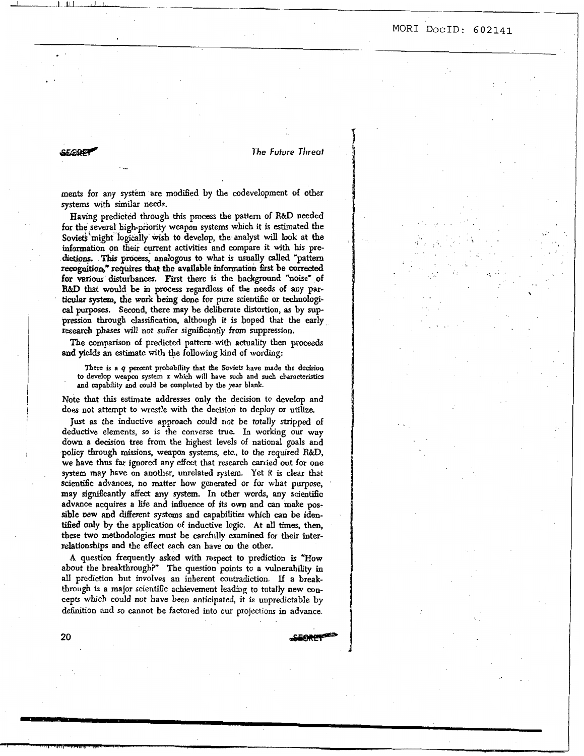#### The Future Threat

**SEGRA** 

20

ments for any system are modified by the codevelopment of other systems with similar needs.

Having predicted through this process the pattern of R&D needed for the several high-priority weapon systems which it is estimated the Soviets might logically wish to develop, the analyst will look at the information on their current activities and compare it with his predictions. This process, analogous to what is usually called "pattern recognition," requires that the available information first be corrected for various disturbances. First there is the background "noise" of R&D that would be in process regardless of the needs of any particular system, the work being done for pure scientific or technological purposes. Second, there may be deliberate distortion, as by suppression through classification, although it is hoped that the early research phases will not suffer significantly from suppression.

The comparison of predicted pattern with actuality then proceeds and yields an estimate with the following kind of wording:

There is a q percent probability that the Soviets have made the decision to develop weapon system x which will have such and such characteristics and capability and could be completed by the year blank.

Note that this estimate addresses only the decision to develop and does not attempt to wrestle with the decision to deploy or utilize.

Just as the inductive approach could not be totally stripped of deductive elements, so is the converse true. In working our way down a decision tree from the highest levels of national goals and policy through missions, weapon systems, etc., to the required R&D, we have thus far ignored any effect that research carried out for one system may have on another, unrelated system. Yet it is clear that scientific advances, no matter how generated or for what purpose, may significantly affect any system. In other words, any scientific advance acquires a life and influence of its own and can make possible new and different systems and capabilities which can be identified only by the application of inductive logic. At all times, then, these two methodologies must be carefully examined for their interrelationships and the effect each can have on the other.

A question frequently asked with respect to prediction is "How about the breakthrough?" The question points to a vulnerability in all prediction but involves an inherent contradiction. If a breakthrough is a major scientific achievement leading to totally new concepts which could not have been anticipated, it is unpredictable by definition and so cannot be factored into our projections in advance.